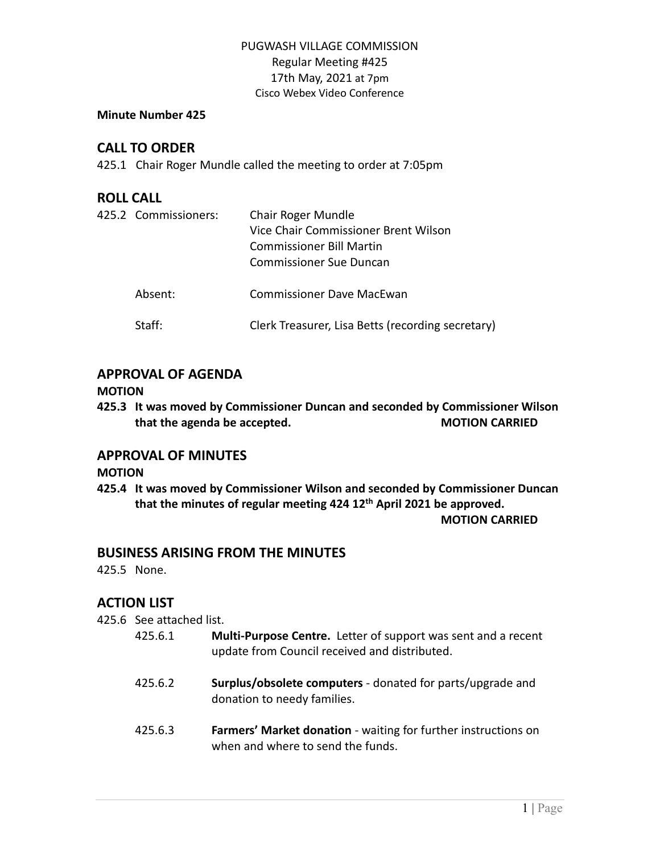### **Minute Number 425**

# **CALL TO ORDER**

425.1 Chair Roger Mundle called the meeting to order at 7:05pm

## **ROLL CALL**

| 425.2 Commissioners: | Chair Roger Mundle<br>Vice Chair Commissioner Brent Wilson<br><b>Commissioner Bill Martin</b><br>Commissioner Sue Duncan |
|----------------------|--------------------------------------------------------------------------------------------------------------------------|
| Absent:              | Commissioner Dave MacEwan                                                                                                |
| Staff:               | Clerk Treasurer, Lisa Betts (recording secretary)                                                                        |

# **APPROVAL OF AGENDA**

### **MOTION**

**425.3 It was moved by Commissioner Duncan and seconded by Commissioner Wilson that the agenda be accepted. MOTION CARRIED**

## **APPROVAL OF MINUTES**

### **MOTION**

**425.4 It was moved by Commissioner Wilson and seconded by Commissioner Duncan that the minutes of regular meeting 424 12th April 2021 be approved.**

#### **MOTION CARRIED**

## **BUSINESS ARISING FROM THE MINUTES**

425.5 None.

# **ACTION LIST**

425.6 See attached list.

- 425.6.1 **Multi-Purpose Centre.** Letter of support was sent and a recent update from Council received and distributed.
- 425.6.2 **Surplus/obsolete computers** donated for parts/upgrade and donation to needy families.
- 425.6.3 **Farmers' Market donation** waiting for further instructions on when and where to send the funds.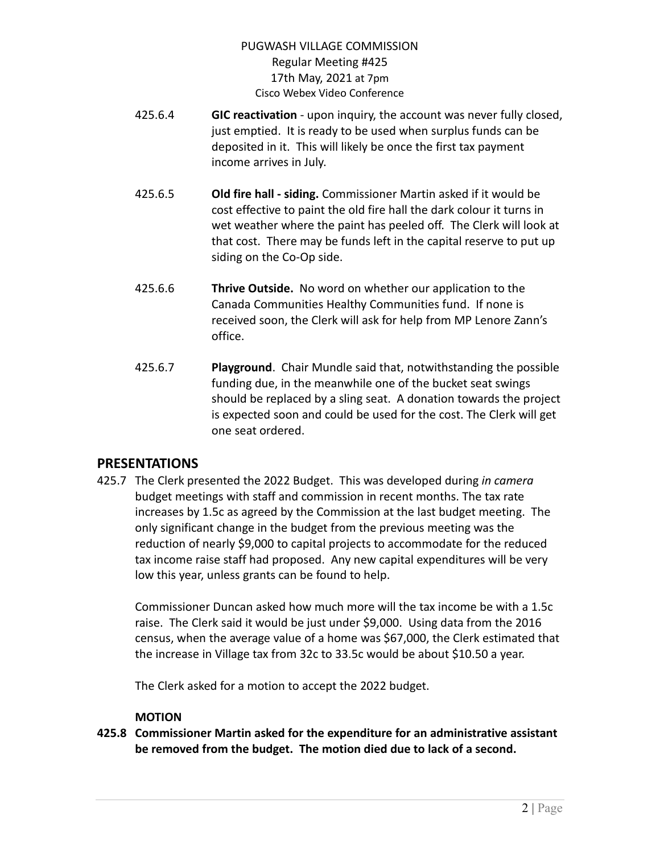- 425.6.4 **GIC reactivation** upon inquiry, the account was never fully closed, just emptied. It is ready to be used when surplus funds can be deposited in it. This will likely be once the first tax payment income arrives in July.
- 425.6.5 **Old fire hall - siding.** Commissioner Martin asked if it would be cost effective to paint the old fire hall the dark colour it turns in wet weather where the paint has peeled off. The Clerk will look at that cost. There may be funds left in the capital reserve to put up siding on the Co-Op side.
- 425.6.6 **Thrive Outside.** No word on whether our application to the Canada Communities Healthy Communities fund. If none is received soon, the Clerk will ask for help from MP Lenore Zann's office.
- 425.6.7 **Playground**. Chair Mundle said that, notwithstanding the possible funding due, in the meanwhile one of the bucket seat swings should be replaced by a sling seat. A donation towards the project is expected soon and could be used for the cost. The Clerk will get one seat ordered.

# **PRESENTATIONS**

425.7 The Clerk presented the 2022 Budget. This was developed during *in camera* budget meetings with staff and commission in recent months. The tax rate increases by 1.5c as agreed by the Commission at the last budget meeting. The only significant change in the budget from the previous meeting was the reduction of nearly \$9,000 to capital projects to accommodate for the reduced tax income raise staff had proposed. Any new capital expenditures will be very low this year, unless grants can be found to help.

Commissioner Duncan asked how much more will the tax income be with a 1.5c raise. The Clerk said it would be just under \$9,000. Using data from the 2016 census, when the average value of a home was \$67,000, the Clerk estimated that the increase in Village tax from 32c to 33.5c would be about \$10.50 a year.

The Clerk asked for a motion to accept the 2022 budget.

## **MOTION**

**425.8 Commissioner Martin asked for the expenditure for an administrative assistant be removed from the budget. The motion died due to lack of a second.**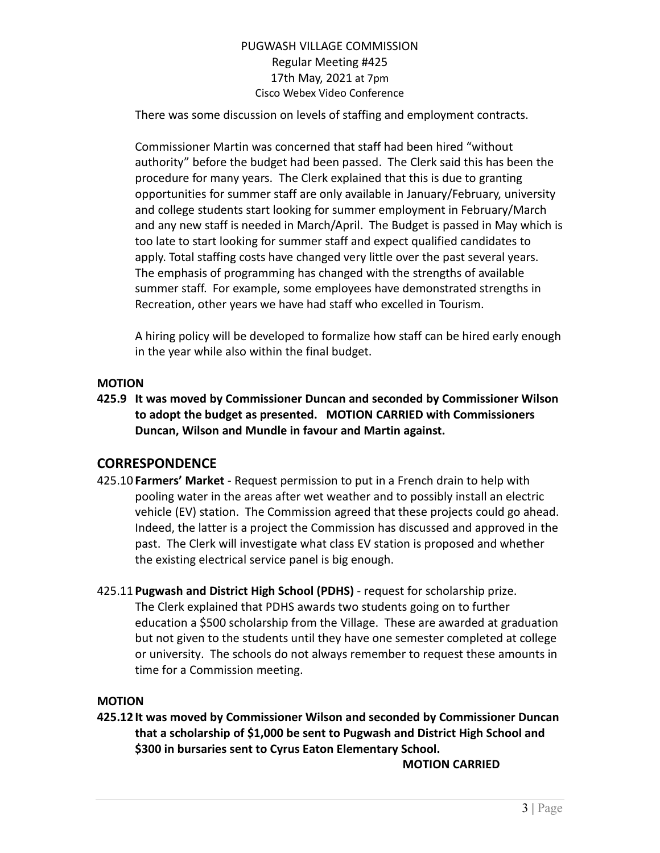There was some discussion on levels of staffing and employment contracts.

Commissioner Martin was concerned that staff had been hired "without authority" before the budget had been passed. The Clerk said this has been the procedure for many years. The Clerk explained that this is due to granting opportunities for summer staff are only available in January/February, university and college students start looking for summer employment in February/March and any new staff is needed in March/April. The Budget is passed in May which is too late to start looking for summer staff and expect qualified candidates to apply. Total staffing costs have changed very little over the past several years. The emphasis of programming has changed with the strengths of available summer staff. For example, some employees have demonstrated strengths in Recreation, other years we have had staff who excelled in Tourism.

A hiring policy will be developed to formalize how staff can be hired early enough in the year while also within the final budget.

## **MOTION**

**425.9 It was moved by Commissioner Duncan and seconded by Commissioner Wilson to adopt the budget as presented. MOTION CARRIED with Commissioners Duncan, Wilson and Mundle in favour and Martin against.**

# **CORRESPONDENCE**

- 425.10 **Farmers' Market** Request permission to put in a French drain to help with pooling water in the areas after wet weather and to possibly install an electric vehicle (EV) station. The Commission agreed that these projects could go ahead. Indeed, the latter is a project the Commission has discussed and approved in the past. The Clerk will investigate what class EV station is proposed and whether the existing electrical service panel is big enough.
- 425.11 **Pugwash and District High School (PDHS)** request for scholarship prize. The Clerk explained that PDHS awards two students going on to further education a \$500 scholarship from the Village. These are awarded at graduation but not given to the students until they have one semester completed at college or university. The schools do not always remember to request these amounts in time for a Commission meeting.

## **MOTION**

**425.12 It was moved by Commissioner Wilson and seconded by Commissioner Duncan that a scholarship of \$1,000 be sent to Pugwash and District High School and \$300 in bursaries sent to Cyrus Eaton Elementary School.**

**MOTION CARRIED**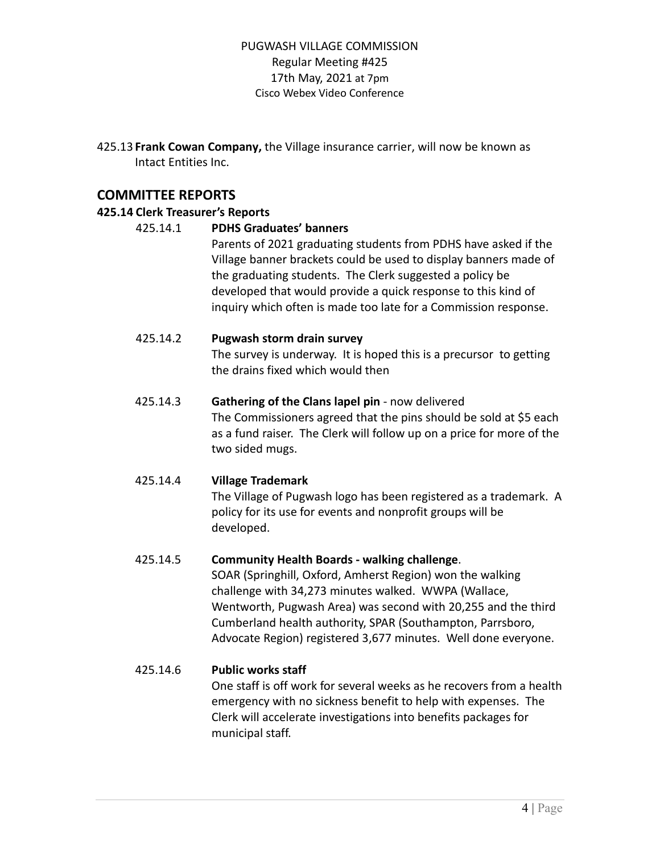425.13 **Frank Cowan Company,** the Village insurance carrier, will now be known as Intact Entities Inc.

# **COMMITTEE REPORTS**

## **425.14 Clerk Treasurer's Reports**

### 425.14.1 **PDHS Graduates' banners**

Parents of 2021 graduating students from PDHS have asked if the Village banner brackets could be used to display banners made of the graduating students. The Clerk suggested a policy be developed that would provide a quick response to this kind of inquiry which often is made too late for a Commission response.

### 425.14.2 **Pugwash storm drain survey**

The survey is underway. It is hoped this is a precursor to getting the drains fixed which would then

# 425.14.3 **Gathering of the Clans lapel pin** - now delivered

The Commissioners agreed that the pins should be sold at \$5 each as a fund raiser. The Clerk will follow up on a price for more of the two sided mugs.

## 425.14.4 **Village Trademark**

The Village of Pugwash logo has been registered as a trademark. A policy for its use for events and nonprofit groups will be developed.

## 425.14.5 **Community Health Boards - walking challenge**.

SOAR (Springhill, Oxford, Amherst Region) won the walking challenge with 34,273 minutes walked. WWPA (Wallace, Wentworth, Pugwash Area) was second with 20,255 and the third Cumberland health authority, SPAR (Southampton, Parrsboro, Advocate Region) registered 3,677 minutes. Well done everyone.

## 425.14.6 **Public works staff**

One staff is off work for several weeks as he recovers from a health emergency with no sickness benefit to help with expenses. The Clerk will accelerate investigations into benefits packages for municipal staff.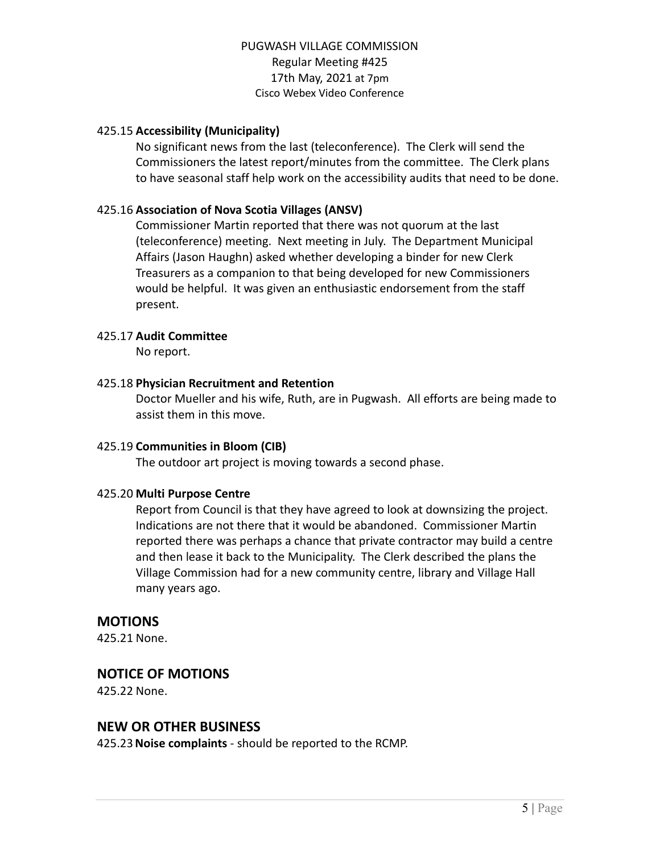### 425.15 **Accessibility (Municipality)**

No significant news from the last (teleconference). The Clerk will send the Commissioners the latest report/minutes from the committee. The Clerk plans to have seasonal staff help work on the accessibility audits that need to be done.

### 425.16 **Association of Nova Scotia Villages (ANSV)**

Commissioner Martin reported that there was not quorum at the last (teleconference) meeting. Next meeting in July. The Department Municipal Affairs (Jason Haughn) asked whether developing a binder for new Clerk Treasurers as a companion to that being developed for new Commissioners would be helpful. It was given an enthusiastic endorsement from the staff present.

### 425.17 **Audit Committee**

No report.

### 425.18 **Physician Recruitment and Retention**

Doctor Mueller and his wife, Ruth, are in Pugwash. All efforts are being made to assist them in this move.

### 425.19 **Communities in Bloom (CIB)**

The outdoor art project is moving towards a second phase.

### 425.20 **Multi Purpose Centre**

Report from Council is that they have agreed to look at downsizing the project. Indications are not there that it would be abandoned. Commissioner Martin reported there was perhaps a chance that private contractor may build a centre and then lease it back to the Municipality. The Clerk described the plans the Village Commission had for a new community centre, library and Village Hall many years ago.

### **MOTIONS**

425.21 None.

## **NOTICE OF MOTIONS**

425.22 None.

### **NEW OR OTHER BUSINESS**

425.23**Noise complaints** - should be reported to the RCMP.